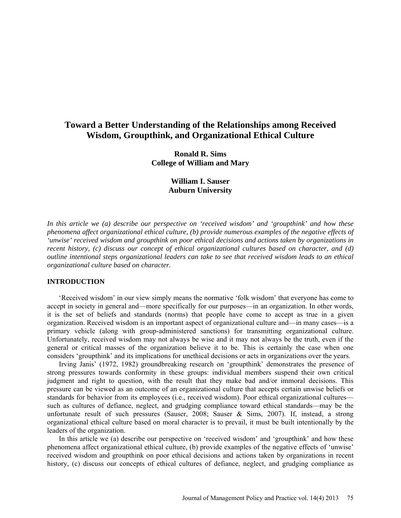# **Toward a Better Understanding of the Relationships among Received Wisdom, Groupthink, and Organizational Ethical Culture**

**Ronald R. Sims College of William and Mary** 

> **William I. Sauser Auburn University**

*In this article we (a) describe our perspective on 'received wisdom' and 'groupthink' and how these phenomena affect organizational ethical culture, (b) provide numerous examples of the negative effects of 'unwise' received wisdom and groupthink on poor ethical decisions and actions taken by organizations in recent history, (c) discuss our concept of ethical organizational cultures based on character, and (d) outline intentional steps organizational leaders can take to see that received wisdom leads to an ethical organizational culture based on character.* 

## **INTRODUCTION**

'Received wisdom' in our view simply means the normative 'folk wisdom' that everyone has come to accept in society in general and—more specifically for our purposes—in an organization. In other words, it is the set of beliefs and standards (norms) that people have come to accept as true in a given organization. Received wisdom is an important aspect of organizational culture and—in many cases—is a primary vehicle (along with group-administered sanctions) for transmitting organizational culture. Unfortunately, received wisdom may not always be wise and it may not always be the truth, even if the general or critical masses of the organization believe it to be. This is certainly the case when one considers 'groupthink' and its implications for unethical decisions or acts in organizations over the years.

Irving Janis' (1972, 1982) groundbreaking research on 'groupthink' demonstrates the presence of strong pressures towards conformity in these groups: individual members suspend their own critical judgment and right to question, with the result that they make bad and/or immoral decisions. This pressure can be viewed as an outcome of an organizational culture that accepts certain unwise beliefs or standards for behavior from its employees (i.e., received wisdom). Poor ethical organizational cultures such as cultures of defiance, neglect, and grudging compliance toward ethical standards—may be the unfortunate result of such pressures (Sauser, 2008; Sauser & Sims, 2007). If, instead, a strong organizational ethical culture based on moral character is to prevail, it must be built intentionally by the leaders of the organization.

In this article we (a) describe our perspective on 'received wisdom' and 'groupthink' and how these phenomena affect organizational ethical culture, (b) provide examples of the negative effects of 'unwise' received wisdom and groupthink on poor ethical decisions and actions taken by organizations in recent history, (c) discuss our concepts of ethical cultures of defiance, neglect, and grudging compliance as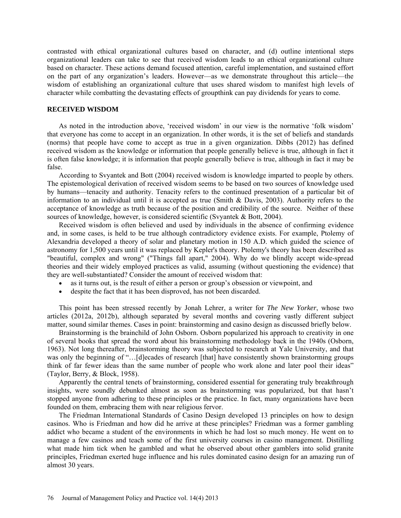contrasted with ethical organizational cultures based on character, and (d) outline intentional steps organizational leaders can take to see that received wisdom leads to an ethical organizational culture based on character. These actions demand focused attention, careful implementation, and sustained effort on the part of any organization's leaders. However—as we demonstrate throughout this article—the wisdom of establishing an organizational culture that uses shared wisdom to manifest high levels of character while combatting the devastating effects of groupthink can pay dividends for years to come.

### **RECEIVED WISDOM**

As noted in the introduction above, 'received wisdom' in our view is the normative 'folk wisdom' that everyone has come to accept in an organization. In other words, it is the set of beliefs and standards (norms) that people have come to accept as true in a given organization. Dibbs (2012) has defined received wisdom as the knowledge or information that people generally believe is true, although in fact it is often false knowledge; it is information that people generally believe is true, although in fact it may be false.

According to Svyantek and Bott (2004) received wisdom is knowledge imparted to people by others. The epistemological derivation of received wisdom seems to be based on two sources of knowledge used by humans—tenacity and authority. Tenacity refers to the continued presentation of a particular bit of information to an individual until it is accepted as true (Smith & Davis, 2003). Authority refers to the acceptance of knowledge as truth because of the position and credibility of the source. Neither of these sources of knowledge, however, is considered scientific (Svyantek & Bott, 2004).

Received wisdom is often believed and used by individuals in the absence of confirming evidence and, in some cases, is held to be true although contradictory evidence exists. For example, Ptolemy of Alexandria developed a theory of solar and planetary motion in 150 A.D. which guided the science of astronomy for 1,500 years until it was replaced by Kepler's theory. Ptolemy's theory has been described as "beautiful, complex and wrong" ("Things fall apart," 2004). Why do we blindly accept wide-spread theories and their widely employed practices as valid, assuming (without questioning the evidence) that they are well-substantiated? Consider the amount of received wisdom that:

- as it turns out, is the result of either a person or group's obsession or viewpoint, and
- despite the fact that it has been disproved, has not been discarded.

This point has been stressed recently by Jonah Lehrer, a writer for *The New Yorker*, whose two articles (2012a, 2012b), although separated by several months and covering vastly different subject matter, sound similar themes. Cases in point: brainstorming and casino design as discussed briefly below.

Brainstorming is the brainchild of John Osborn. Osborn popularized his approach to creativity in one of several books that spread the word about his brainstorming methodology back in the 1940s (Osborn, 1963). Not long thereafter, brainstorming theory was subjected to research at Yale University, and that was only the beginning of "... [d]ecades of research [that] have consistently shown brainstorming groups think of far fewer ideas than the same number of people who work alone and later pool their ideas" (Taylor, Berry, & Block, 1958).

Apparently the central tenets of brainstorming, considered essential for generating truly breakthrough insights, were soundly debunked almost as soon as brainstorming was popularized, but that hasn't stopped anyone from adhering to these principles or the practice. In fact, many organizations have been founded on them, embracing them with near religious fervor.

The Friedman International Standards of Casino Design developed 13 principles on how to design casinos. Who is Friedman and how did he arrive at these principles? Friedman was a former gambling addict who became a student of the environments in which he had lost so much money. He went on to manage a few casinos and teach some of the first university courses in casino management. Distilling what made him tick when he gambled and what he observed about other gamblers into solid granite principles, Friedman exerted huge influence and his rules dominated casino design for an amazing run of almost 30 years.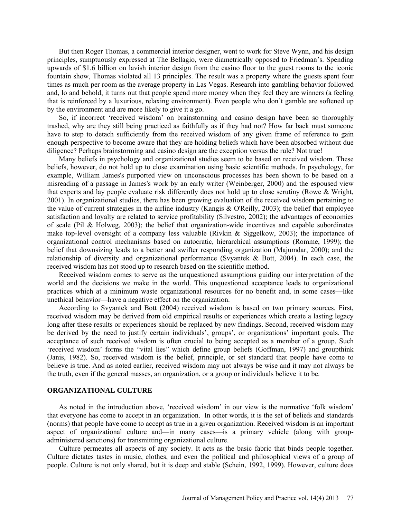But then Roger Thomas, a commercial interior designer, went to work for Steve Wynn, and his design principles, sumptuously expressed at The Bellagio, were diametrically opposed to Friedman's. Spending upwards of \$1.6 billion on lavish interior design from the casino floor to the guest rooms to the iconic fountain show, Thomas violated all 13 principles. The result was a property where the guests spent four times as much per room as the average property in Las Vegas. Research into gambling behavior followed and, lo and behold, it turns out that people spend more money when they feel they are winners (a feeling that is reinforced by a luxurious, relaxing environment). Even people who don't gamble are softened up by the environment and are more likely to give it a go.

So, if incorrect 'received wisdom' on brainstorming and casino design have been so thoroughly trashed, why are they still being practiced as faithfully as if they had not? How far back must someone have to step to detach sufficiently from the received wisdom of any given frame of reference to gain enough perspective to become aware that they are holding beliefs which have been absorbed without due diligence? Perhaps brainstorming and casino design are the exception versus the rule? Not true!

Many beliefs in psychology and organizational studies seem to be based on received wisdom. These beliefs, however, do not hold up to close examination using basic scientific methods. In psychology, for example, William James's purported view on unconscious processes has been shown to be based on a misreading of a passage in James's work by an early writer (Weinberger, 2000) and the espoused view that experts and lay people evaluate risk differently does not hold up to close scrutiny (Rowe & Wright, 2001). In organizational studies, there has been growing evaluation of the received wisdom pertaining to the value of current strategies in the airline industry (Kangis & O'Reilly, 2003); the belief that employee satisfaction and loyalty are related to service profitability (Silvestro, 2002); the advantages of economies of scale (Pil & Holweg, 2003); the belief that organization-wide incentives and capable subordinates make top-level oversight of a company less valuable (Rivkin & Siggelkow, 2003); the importance of organizational control mechanisms based on autocratic, hierarchical assumptions (Romme, 1999); the belief that downsizing leads to a better and swifter responding organization (Majumdar, 2000); and the relationship of diversity and organizational performance (Svyantek & Bott, 2004). In each case, the received wisdom has not stood up to research based on the scientific method.

Received wisdom comes to serve as the unquestioned assumptions guiding our interpretation of the world and the decisions we make in the world. This unquestioned acceptance leads to organizational practices which at a minimum waste organizational resources for no benefit and, in some cases—like unethical behavior—have a negative effect on the organization.

According to Svyantek and Bott (2004) received wisdom is based on two primary sources. First, received wisdom may be derived from old empirical results or experiences which create a lasting legacy long after these results or experiences should be replaced by new findings. Second, received wisdom may be derived by the need to justify certain individuals', groups', or organizations' important goals. The acceptance of such received wisdom is often crucial to being accepted as a member of a group. Such 'received wisdom' forms the "vital lies" which define group beliefs (Goffman, 1997) and groupthink (Janis, 1982). So, received wisdom is the belief, principle, or set standard that people have come to believe is true. And as noted earlier, received wisdom may not always be wise and it may not always be the truth, even if the general masses, an organization, or a group or individuals believe it to be.

#### **ORGANIZATIONAL CULTURE**

As noted in the introduction above, 'received wisdom' in our view is the normative 'folk wisdom' that everyone has come to accept in an organization. In other words, it is the set of beliefs and standards (norms) that people have come to accept as true in a given organization. Received wisdom is an important aspect of organizational culture and—in many cases—is a primary vehicle (along with groupadministered sanctions) for transmitting organizational culture.

Culture permeates all aspects of any society. It acts as the basic fabric that binds people together. Culture dictates tastes in music, clothes, and even the political and philosophical views of a group of people. Culture is not only shared, but it is deep and stable (Schein, 1992, 1999). However, culture does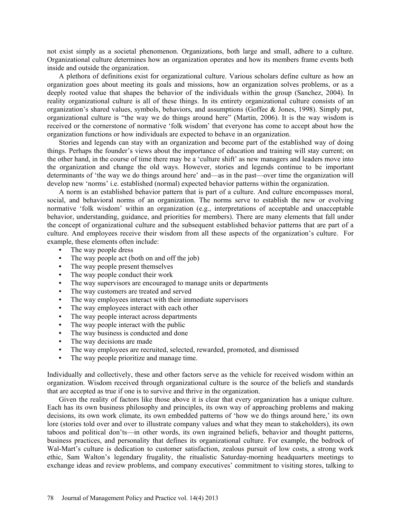not exist simply as a societal phenomenon. Organizations, both large and small, adhere to a culture. Organizational culture determines how an organization operates and how its members frame events both inside and outside the organization.

A plethora of definitions exist for organizational culture. Various scholars define culture as how an organization goes about meeting its goals and missions, how an organization solves problems, or as a deeply rooted value that shapes the behavior of the individuals within the group (Sanchez, 2004). In reality organizational culture is all of these things. In its entirety organizational culture consists of an organization's shared values, symbols, behaviors, and assumptions (Goffee & Jones, 1998). Simply put, organizational culture is "the way we do things around here" (Martin, 2006). It is the way wisdom is received or the cornerstone of normative 'folk wisdom' that everyone has come to accept about how the organization functions or how individuals are expected to behave in an organization.

Stories and legends can stay with an organization and become part of the established way of doing things. Perhaps the founder's views about the importance of education and training will stay current; on the other hand, in the course of time there may be a 'culture shift' as new managers and leaders move into the organization and change the old ways. However, stories and legends continue to be important determinants of 'the way we do things around here' and—as in the past—over time the organization will develop new 'norms' i.e. established (normal) expected behavior patterns within the organization.

A norm is an established behavior pattern that is part of a culture. And culture encompasses moral, social, and behavioral norms of an organization. The norms serve to establish the new or evolving normative 'folk wisdom' within an organization (e.g., interpretations of acceptable and unacceptable behavior, understanding, guidance, and priorities for members). There are many elements that fall under the concept of organizational culture and the subsequent established behavior patterns that are part of a culture. And employees receive their wisdom from all these aspects of the organization's culture. For example, these elements often include:

- The way people dress
- The way people act (both on and off the job)
- The way people present themselves
- The way people conduct their work
- The way supervisors are encouraged to manage units or departments
- The way customers are treated and served
- The way employees interact with their immediate supervisors
- The way employees interact with each other
- The way people interact across departments
- The way people interact with the public
- The way business is conducted and done
- The way decisions are made
- The way employees are recruited, selected, rewarded, promoted, and dismissed
- The way people prioritize and manage time.

Individually and collectively, these and other factors serve as the vehicle for received wisdom within an organization. Wisdom received through organizational culture is the source of the beliefs and standards that are accepted as true if one is to survive and thrive in the organization.

Given the reality of factors like those above it is clear that every organization has a unique culture. Each has its own business philosophy and principles, its own way of approaching problems and making decisions, its own work climate, its own embedded patterns of 'how we do things around here,' its own lore (stories told over and over to illustrate company values and what they mean to stakeholders), its own taboos and political don'ts—in other words, its own ingrained beliefs, behavior and thought patterns, business practices, and personality that defines its organizational culture. For example, the bedrock of Wal-Mart's culture is dedication to customer satisfaction, zealous pursuit of low costs, a strong work ethic, Sam Walton's legendary frugality, the ritualistic Saturday-morning headquarters meetings to exchange ideas and review problems, and company executives' commitment to visiting stores, talking to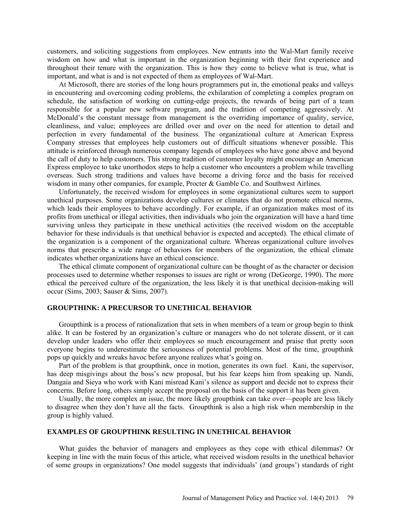customers, and soliciting suggestions from employees. New entrants into the Wal-Mart family receive wisdom on how and what is important in the organization beginning with their first experience and throughout their tenure with the organization. This is how they come to believe what is true, what is important, and what is and is not expected of them as employees of Wal-Mart.

At Microsoft, there are stories of the long hours programmers put in, the emotional peaks and valleys in encountering and overcoming coding problems, the exhilaration of completing a complex program on schedule, the satisfaction of working on cutting-edge projects, the rewards of being part of a team responsible for a popular new software program, and the tradition of competing aggressively. At McDonald's the constant message from management is the overriding importance of quality, service, cleanliness, and value; employees are drilled over and over on the need for attention to detail and perfection in every fundamental of the business. The organizational culture at American Express Company stresses that employees help customers out of difficult situations whenever possible. This attitude is reinforced through numerous company legends of employees who have gone above and beyond the call of duty to help customers. This strong tradition of customer loyalty might encourage an American Express employee to take unorthodox steps to help a customer who encounters a problem while travelling overseas. Such strong traditions and values have become a driving force and the basis for received wisdom in many other companies, for example, Procter & Gamble Co. and Southwest Airlines.

Unfortunately, the received wisdom for employees in some organizational cultures seem to support unethical purposes. Some organizations develop cultures or climates that do not promote ethical norms, which leads their employees to behave accordingly. For example, if an organization makes most of its profits from unethical or illegal activities, then individuals who join the organization will have a hard time surviving unless they participate in these unethical activities (the received wisdom on the acceptable behavior for these individuals is that unethical behavior is expected and accepted). The ethical climate of the organization is a component of the organizational culture. Whereas organizational culture involves norms that prescribe a wide range of behaviors for members of the organization, the ethical climate indicates whether organizations have an ethical conscience.

The ethical climate component of organizational culture can be thought of as the character or decision processes used to determine whether responses to issues are right or wrong (DeGeorge, 1990). The more ethical the perceived culture of the organization, the less likely it is that unethical decision-making will occur (Sims, 2003; Sauser & Sims, 2007).

#### **GROUPTHINK: A PRECURSOR TO UNETHICAL BEHAVIOR**

Groupthink is a process of rationalization that sets in when members of a team or group begin to think alike. It can be fostered by an organization's culture or managers who do not tolerate dissent, or it can develop under leaders who offer their employees so much encouragement and praise that pretty soon everyone begins to underestimate the seriousness of potential problems. Most of the time, groupthink pops up quickly and wreaks havoc before anyone realizes what's going on.

Part of the problem is that groupthink, once in motion, generates its own fuel. Kani, the supervisor, has deep misgivings about the boss's new proposal, but his fear keeps him from speaking up. Nandi, Dangaia and Sieya who work with Kani misread Kani's silence as support and decide not to express their concerns. Before long, others simply accept the proposal on the basis of the support it has been given.

Usually, the more complex an issue, the more likely groupthink can take over—people are less likely to disagree when they don't have all the facts. Groupthink is also a high risk when membership in the group is highly valued.

# **EXAMPLES OF GROUPTHINK RESULTING IN UNETHICAL BEHAVIOR**

What guides the behavior of managers and employees as they cope with ethical dilemmas? Or keeping in line with the main focus of this article, what received wisdom results in the unethical behavior of some groups in organizations? One model suggests that individuals' (and groups') standards of right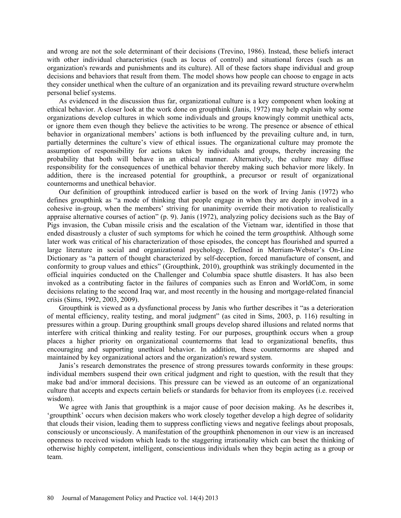and wrong are not the sole determinant of their decisions (Trevino, 1986). Instead, these beliefs interact with other individual characteristics (such as locus of control) and situational forces (such as an organization's rewards and punishments and its culture). All of these factors shape individual and group decisions and behaviors that result from them. The model shows how people can choose to engage in acts they consider unethical when the culture of an organization and its prevailing reward structure overwhelm personal belief systems.

As evidenced in the discussion thus far, organizational culture is a key component when looking at ethical behavior. A closer look at the work done on groupthink (Janis, 1972) may help explain why some organizations develop cultures in which some individuals and groups knowingly commit unethical acts, or ignore them even though they believe the activities to be wrong. The presence or absence of ethical behavior in organizational members' actions is both influenced by the prevailing culture and, in turn, partially determines the culture's view of ethical issues. The organizational culture may promote the assumption of responsibility for actions taken by individuals and groups, thereby increasing the probability that both will behave in an ethical manner. Alternatively, the culture may diffuse responsibility for the consequences of unethical behavior thereby making such behavior more likely. In addition, there is the increased potential for groupthink, a precursor or result of organizational counternorms and unethical behavior.

Our definition of groupthink introduced earlier is based on the work of Irving Janis (1972) who defines groupthink as "a mode of thinking that people engage in when they are deeply involved in a cohesive in-group, when the members' striving for unanimity override their motivation to realistically appraise alternative courses of action" (p. 9). Janis (1972), analyzing policy decisions such as the Bay of Pigs invasion, the Cuban missile crisis and the escalation of the Vietnam war, identified in those that ended disastrously a cluster of such symptoms for which he coined the term *groupthink*. Although some later work was critical of his characterization of those episodes, the concept has flourished and spurred a large literature in social and organizational psychology. Defined in Merriam-Webster's On-Line Dictionary as "a pattern of thought characterized by self-deception, forced manufacture of consent, and conformity to group values and ethics" (Groupthink, 2010), groupthink was strikingly documented in the official inquiries conducted on the Challenger and Columbia space shuttle disasters. It has also been invoked as a contributing factor in the failures of companies such as Enron and WorldCom, in some decisions relating to the second Iraq war, and most recently in the housing and mortgage-related financial crisis (Sims, 1992, 2003, 2009).

Groupthink is viewed as a dysfunctional process by Janis who further describes it "as a deterioration of mental efficiency, reality testing, and moral judgment" (as cited in Sims, 2003, p. 116) resulting in pressures within a group. During groupthink small groups develop shared illusions and related norms that interfere with critical thinking and reality testing. For our purposes, groupthink occurs when a group places a higher priority on organizational counternorms that lead to organizational benefits, thus encouraging and supporting unethical behavior. In addition, these counternorms are shaped and maintained by key organizational actors and the organization's reward system.

Janis's research demonstrates the presence of strong pressures towards conformity in these groups: individual members suspend their own critical judgment and right to question, with the result that they make bad and/or immoral decisions. This pressure can be viewed as an outcome of an organizational culture that accepts and expects certain beliefs or standards for behavior from its employees (i.e. received wisdom).

We agree with Janis that groupthink is a major cause of poor decision making. As he describes it, 'groupthink' occurs when decision makers who work closely together develop a high degree of solidarity that clouds their vision, leading them to suppress conflicting views and negative feelings about proposals, consciously or unconsciously. A manifestation of the groupthink phenomenon in our view is an increased openness to received wisdom which leads to the staggering irrationality which can beset the thinking of otherwise highly competent, intelligent, conscientious individuals when they begin acting as a group or team.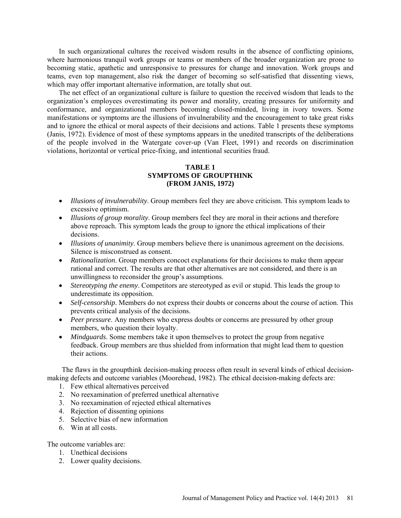In such organizational cultures the received wisdom results in the absence of conflicting opinions, where harmonious tranquil work groups or teams or members of the broader organization are prone to becoming static, apathetic and unresponsive to pressures for change and innovation. Work groups and teams, even top management, also risk the danger of becoming so self-satisfied that dissenting views, which may offer important alternative information, are totally shut out.

The net effect of an organizational culture is failure to question the received wisdom that leads to the organization's employees overestimating its power and morality, creating pressures for uniformity and conformance, and organizational members becoming closed-minded, living in ivory towers. Some manifestations or symptoms are the illusions of invulnerability and the encouragement to take great risks and to ignore the ethical or moral aspects of their decisions and actions. Table 1 presents these symptoms (Janis, 1972). Evidence of most of these symptoms appears in the unedited transcripts of the deliberations of the people involved in the Watergate cover-up (Van Fleet, 1991) and records on discrimination violations, horizontal or vertical price-fixing, and intentional securities fraud.

# **TABLE 1 SYMPTOMS OF GROUPTHINK (FROM JANIS, 1972)**

- *Illusions of invulnerability*. Group members feel they are above criticism. This symptom leads to excessive optimism.
- *Illusions of group morality*. Group members feel they are moral in their actions and therefore above reproach. This symptom leads the group to ignore the ethical implications of their decisions.
- *Illusions of unanimity*. Group members believe there is unanimous agreement on the decisions. Silence is misconstrued as consent.
- *Rationalization*. Group members concoct explanations for their decisions to make them appear rational and correct. The results are that other alternatives are not considered, and there is an unwillingness to reconsider the group's assumptions.
- *Stereotyping the enemy*. Competitors are stereotyped as evil or stupid. This leads the group to underestimate its opposition.
- *Self-censorship*. Members do not express their doubts or concerns about the course of action. This prevents critical analysis of the decisions.
- *Peer pressure*. Any members who express doubts or concerns are pressured by other group members, who question their loyalty.
- *Mindguards*. Some members take it upon themselves to protect the group from negative feedback. Group members are thus shielded from information that might lead them to question their actions.

The flaws in the groupthink decision-making process often result in several kinds of ethical decisionmaking defects and outcome variables (Moorehead, 1982). The ethical decision-making defects are:

- 1. Few ethical alternatives perceived
- 2. No reexamination of preferred unethical alternative
- 3. No reexamination of rejected ethical alternatives
- 4. Rejection of dissenting opinions
- 5. Selective bias of new information
- 6. Win at all costs.

The outcome variables are:

- 1. Unethical decisions
- 2. Lower quality decisions.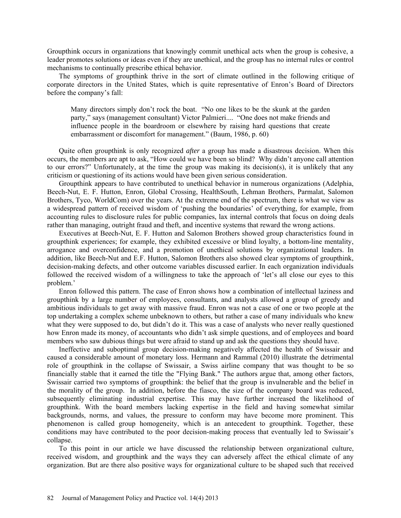Groupthink occurs in organizations that knowingly commit unethical acts when the group is cohesive, a leader promotes solutions or ideas even if they are unethical, and the group has no internal rules or control mechanisms to continually prescribe ethical behavior.

The symptoms of groupthink thrive in the sort of climate outlined in the following critique of corporate directors in the United States, which is quite representative of Enron's Board of Directors before the company's fall:

Many directors simply don't rock the boat. "No one likes to be the skunk at the garden party," says (management consultant) Victor Palmieri.... "One does not make friends and influence people in the boardroom or elsewhere by raising hard questions that create embarrassment or discomfort for management." (Baum, 1986, p. 60)

Quite often groupthink is only recognized *after* a group has made a disastrous decision. When this occurs, the members are apt to ask, "How could we have been so blind? Why didn't anyone call attention to our errors?" Unfortunately, at the time the group was making its decision(s), it is unlikely that any criticism or questioning of its actions would have been given serious consideration.

Groupthink appears to have contributed to unethical behavior in numerous organizations (Adelphia, Beech-Nut, E. F. Hutton, Enron, Global Crossing, HealthSouth, Lehman Brothers, Parmalat, Salomon Brothers, Tyco, WorldCom) over the years. At the extreme end of the spectrum, there is what we view as a widespread pattern of received wisdom of 'pushing the boundaries' of everything, for example, from accounting rules to disclosure rules for public companies, lax internal controls that focus on doing deals rather than managing, outright fraud and theft, and incentive systems that reward the wrong actions.

Executives at Beech-Nut, E. F. Hutton and Salomon Brothers showed group characteristics found in groupthink experiences; for example, they exhibited excessive or blind loyalty, a bottom-line mentality, arrogance and overconfidence, and a promotion of unethical solutions by organizational leaders. In addition, like Beech-Nut and E.F. Hutton, Salomon Brothers also showed clear symptoms of groupthink, decision-making defects, and other outcome variables discussed earlier. In each organization individuals followed the received wisdom of a willingness to take the approach of 'let's all close our eyes to this problem.'

Enron followed this pattern. The case of Enron shows how a combination of intellectual laziness and groupthink by a large number of employees, consultants, and analysts allowed a group of greedy and ambitious individuals to get away with massive fraud. Enron was not a case of one or two people at the top undertaking a complex scheme unbeknown to others, but rather a case of many individuals who knew what they were supposed to do, but didn't do it. This was a case of analysts who never really questioned how Enron made its money, of accountants who didn't ask simple questions, and of employees and board members who saw dubious things but were afraid to stand up and ask the questions they should have.

Ineffective and suboptimal group decision-making negatively affected the health of Swissair and caused a considerable amount of monetary loss. Hermann and Rammal (2010) illustrate the detrimental role of groupthink in the collapse of Swissair, a Swiss airline company that was thought to be so financially stable that it earned the title the "Flying Bank." The authors argue that, among other factors, Swissair carried two symptoms of groupthink: the belief that the group is invulnerable and the belief in the morality of the group. In addition, before the fiasco, the size of the company board was reduced, subsequently eliminating industrial expertise. This may have further increased the likelihood of groupthink. With the board members lacking expertise in the field and having somewhat similar backgrounds, norms, and values, the pressure to conform may have become more prominent. This phenomenon is called group homogeneity, which is an antecedent to groupthink. Together, these conditions may have contributed to the poor decision-making process that eventually led to Swissair's collapse.

To this point in our article we have discussed the relationship between organizational culture, received wisdom, and groupthink and the ways they can adversely affect the ethical climate of any organization. But are there also positive ways for organizational culture to be shaped such that received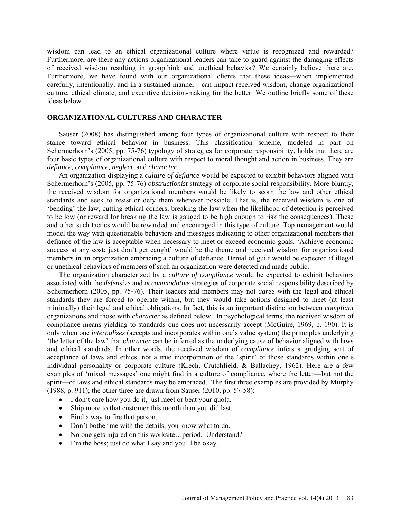wisdom can lead to an ethical organizational culture where virtue is recognized and rewarded? Furthermore, are there any actions organizational leaders can take to guard against the damaging effects of received wisdom resulting in groupthink and unethical behavior? We certainly believe there are. Furthermore, we have found with our organizational clients that these ideas—when implemented carefully, intentionally, and in a sustained manner—can impact received wisdom, change organizational culture, ethical climate, and executive decision-making for the better. We outline briefly some of these ideas below.

## **ORGANIZATIONAL CULTURES AND CHARACTER**

Sauser (2008) has distinguished among four types of organizational culture with respect to their stance toward ethical behavior in business. This classification scheme, modeled in part on Schermerhorn's (2005, pp. 75-76) typology of strategies for corporate responsibility, holds that there are four basic types of organizational culture with respect to moral thought and action in business. They are *defiance, compliance, neglect*, and *character.* 

An organization displaying a *culture of defiance* would be expected to exhibit behaviors aligned with Schermerhorn's (2005, pp. 75-76) *obstructionist* strategy of corporate social responsibility. More bluntly, the received wisdom for organizational members would be likely to scorn the law and other ethical standards and seek to resist or defy them wherever possible. That is, the received wisdom is one of 'bending' the law, cutting ethical corners, breaking the law when the likelihood of detection is perceived to be low (or reward for breaking the law is gauged to be high enough to risk the consequences). These and other such tactics would be rewarded and encouraged in this type of culture. Top management would model the way with questionable behaviors and messages indicating to other organizational members that defiance of the law is acceptable when necessary to meet or exceed economic goals. 'Achieve economic success at any cost; just don't get caught' would be the theme and received wisdom for organizational members in an organization embracing a culture of defiance. Denial of guilt would be expected if illegal or unethical behaviors of members of such an organization were detected and made public.

The organization characterized by a *culture of compliance* would be expected to exhibit behaviors associated with the *defensive* and *accommodative* strategies of corporate social responsibility described by Schermerhorn (2005, pp. 75-76). Their leaders and members may not *agree* with the legal and ethical standards they are forced to operate within, but they would take actions designed to meet (at least minimally) their legal and ethical obligations. In fact, this is an important distinction between *compliant*  organizations and those with *character* as defined below. In psychological terms, the received wisdom of compliance means yielding to standards one does not necessarily accept (McGuire, 1969, p. 190). It is only when one *internalizes* (accepts and incorporates within one's value system) the principles underlying 'the letter of the law' that c*haracter* can be inferred as the underlying cause of behavior aligned with laws and ethical standards. In other words, the received wisdom of *compliance* infers a grudging sort of acceptance of laws and ethics, not a true incorporation of the 'spirit' of those standards within one's individual personality or corporate culture (Krech, Crutchfield, & Ballachey, 1962). Here are a few examples of 'mixed messages' one might find in a culture of compliance, where the letter—but not the spirit—of laws and ethical standards may be embraced. The first three examples are provided by Murphy (1988, p. 911); the other three are drawn from Sauser (2010, pp. 57-58):

- I don't care how you do it, just meet or beat your quota.
- Ship more to that customer this month than you did last.
- Find a way to fire that person.
- Don't bother me with the details, you know what to do.
- No one gets injured on this worksite...period. Understand?
- I'm the boss; just do what I say and you'll be okay.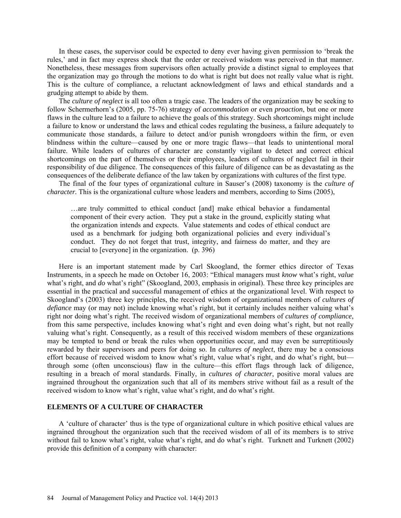In these cases, the supervisor could be expected to deny ever having given permission to 'break the rules,' and in fact may express shock that the order or received wisdom was perceived in that manner. Nonetheless, these messages from supervisors often actually provide a distinct signal to employees that the organization may go through the motions to do what is right but does not really value what is right. This is the culture of compliance, a reluctant acknowledgment of laws and ethical standards and a grudging attempt to abide by them.

The *culture of neglect* is all too often a tragic case. The leaders of the organization may be seeking to follow Schermerhorn's (2005, pp. 75-76) strategy of *accommodation* or even *proaction*, but one or more flaws in the culture lead to a failure to achieve the goals of this strategy. Such shortcomings might include a failure to know or understand the laws and ethical codes regulating the business, a failure adequately to communicate those standards, a failure to detect and/or punish wrongdoers within the firm, or even blindness within the culture—caused by one or more tragic flaws—that leads to unintentional moral failure. While leaders of cultures of character are constantly vigilant to detect and correct ethical shortcomings on the part of themselves or their employees, leaders of cultures of neglect fail in their responsibility of due diligence. The consequences of this failure of diligence can be as devastating as the consequences of the deliberate defiance of the law taken by organizations with cultures of the first type.

The final of the four types of organizational culture in Sauser's (2008) taxonomy is the *culture of character.* This is the organizational culture whose leaders and members, according to Sims (2005),

…are truly committed to ethical conduct [and] make ethical behavior a fundamental component of their every action. They put a stake in the ground, explicitly stating what the organization intends and expects. Value statements and codes of ethical conduct are used as a benchmark for judging both organizational policies and every individual's conduct. They do not forget that trust, integrity, and fairness do matter, and they are crucial to [everyone] in the organization. (p. 396)

Here is an important statement made by Carl Skoogland, the former ethics director of Texas Instruments, in a speech he made on October 16, 2003: "Ethical managers must *know* what's right, *value*  what's right, and *do* what's right" (Skoogland, 2003, emphasis in original). These three key principles are essential in the practical and successful management of ethics at the organizational level. With respect to Skoogland's (2003) three key principles, the received wisdom of organizational members of *cultures of defiance* may (or may not) include knowing what's right, but it certainly includes neither valuing what's right nor doing what's right. The received wisdom of organizational members of *cultures of compliance*, from this same perspective, includes knowing what's right and even doing what's right, but not really valuing what's right. Consequently, as a result of this received wisdom members of these organizations may be tempted to bend or break the rules when opportunities occur, and may even be surreptitiously rewarded by their supervisors and peers for doing so. In *cultures of neglect*, there may be a conscious effort because of received wisdom to know what's right, value what's right, and do what's right, but through some (often unconscious) flaw in the culture—this effort flags through lack of diligence, resulting in a breach of moral standards. Finally, in *cultures of character*, positive moral values are ingrained throughout the organization such that all of its members strive without fail as a result of the received wisdom to know what's right, value what's right, and do what's right.

# **ELEMENTS OF A CULTURE OF CHARACTER**

A 'culture of character' thus is the type of organizational culture in which positive ethical values are ingrained throughout the organization such that the received wisdom of all of its members is to strive without fail to know what's right, value what's right, and do what's right. Turknett and Turknett (2002) provide this definition of a company with character: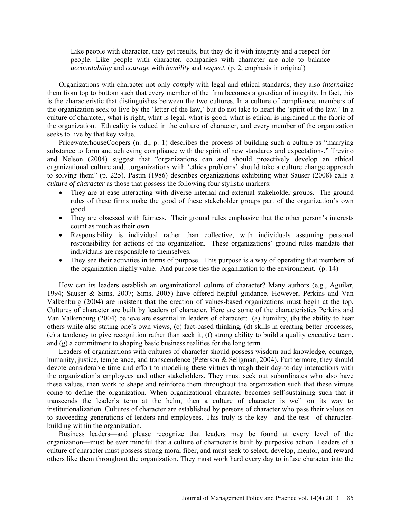Like people with character, they get results, but they do it with integrity and a respect for people. Like people with character, companies with character are able to balance *accountability* and *courage* with *humility* and *respect.* (p. 2, emphasis in original)

Organizations with character not only *comply* with legal and ethical standards, they also *internalize* them from top to bottom such that every member of the firm becomes a guardian of integrity. In fact, this is the characteristic that distinguishes between the two cultures. In a culture of compliance, members of the organization seek to live by the 'letter of the law,' but do not take to heart the 'spirit of the law.' In a culture of character, what is right, what is legal, what is good, what is ethical is ingrained in the fabric of the organization. Ethicality is valued in the culture of character, and every member of the organization seeks to live by that key value.

PricewaterhouseCoopers (n. d., p. 1) describes the process of building such a culture as "marrying substance to form and achieving compliance with the spirit of new standards and expectations." Trevino and Nelson (2004) suggest that "organizations can and should proactively develop an ethical organizational culture and…organizations with 'ethics problems' should take a culture change approach to solving them" (p. 225). Pastin (1986) describes organizations exhibiting what Sauser (2008) calls a *culture of character* as those that possess the following four stylistic markers:

- They are at ease interacting with diverse internal and external stakeholder groups. The ground rules of these firms make the good of these stakeholder groups part of the organization's own good.
- They are obsessed with fairness. Their ground rules emphasize that the other person's interests count as much as their own.
- Responsibility is individual rather than collective, with individuals assuming personal responsibility for actions of the organization. These organizations' ground rules mandate that individuals are responsible to themselves.
- They see their activities in terms of purpose. This purpose is a way of operating that members of the organization highly value. And purpose ties the organization to the environment. (p. 14)

How can its leaders establish an organizational culture of character? Many authors (e.g., Aguilar, 1994; Sauser & Sims, 2007; Sims, 2005) have offered helpful guidance. However, Perkins and Van Valkenburg (2004) are insistent that the creation of values-based organizations must begin at the top. Cultures of character are built by leaders of character. Here are some of the characteristics Perkins and Van Valkenburg (2004) believe are essential in leaders of character: (a) humility, (b) the ability to hear others while also stating one's own views, (c) fact-based thinking, (d) skills in creating better processes, (e) a tendency to give recognition rather than seek it, (f) strong ability to build a quality executive team, and (g) a commitment to shaping basic business realities for the long term.

Leaders of organizations with cultures of character should possess wisdom and knowledge, courage, humanity, justice, temperance, and transcendence (Peterson & Seligman, 2004). Furthermore, they should devote considerable time and effort to modeling these virtues through their day-to-day interactions with the organization's employees and other stakeholders. They must seek out subordinates who also have these values, then work to shape and reinforce them throughout the organization such that these virtues come to define the organization. When organizational character becomes self-sustaining such that it transcends the leader's term at the helm, then a culture of character is well on its way to institutionalization. Cultures of character are established by persons of character who pass their values on to succeeding generations of leaders and employees. This truly is the key—and the test—of characterbuilding within the organization.

Business leaders—and please recognize that leaders may be found at every level of the organization—must be ever mindful that a culture of character is built by purposive action. Leaders of a culture of character must possess strong moral fiber, and must seek to select, develop, mentor, and reward others like them throughout the organization. They must work hard every day to infuse character into the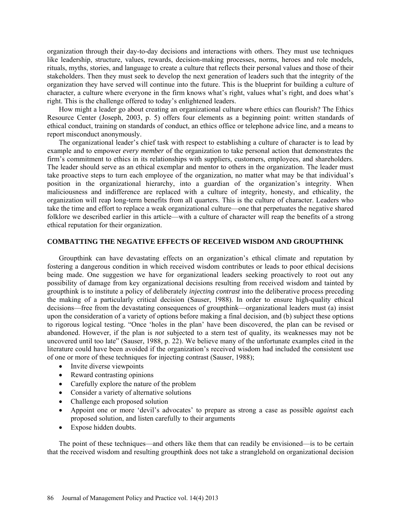organization through their day-to-day decisions and interactions with others. They must use techniques like leadership, structure, values, rewards, decision-making processes, norms, heroes and role models, rituals, myths, stories, and language to create a culture that reflects their personal values and those of their stakeholders. Then they must seek to develop the next generation of leaders such that the integrity of the organization they have served will continue into the future. This is the blueprint for building a culture of character, a culture where everyone in the firm knows what's right, values what's right, and does what's right. This is the challenge offered to today's enlightened leaders.

How might a leader go about creating an organizational culture where ethics can flourish? The Ethics Resource Center (Joseph, 2003, p. 5) offers four elements as a beginning point: written standards of ethical conduct, training on standards of conduct, an ethics office or telephone advice line, and a means to report misconduct anonymously.

The organizational leader's chief task with respect to establishing a culture of character is to lead by example and to empower *every member* of the organization to take personal action that demonstrates the firm's commitment to ethics in its relationships with suppliers, customers, employees, and shareholders. The leader should serve as an ethical exemplar and mentor to others in the organization. The leader must take proactive steps to turn each employee of the organization, no matter what may be that individual's position in the organizational hierarchy, into a guardian of the organization's integrity. When maliciousness and indifference are replaced with a culture of integrity, honesty, and ethicality, the organization will reap long-term benefits from all quarters. This is the culture of character. Leaders who take the time and effort to replace a weak organizational culture—one that perpetuates the negative shared folklore we described earlier in this article—with a culture of character will reap the benefits of a strong ethical reputation for their organization.

#### **COMBATTING THE NEGATIVE EFFECTS OF RECEIVED WISDOM AND GROUPTHINK**

Groupthink can have devastating effects on an organization's ethical climate and reputation by fostering a dangerous condition in which received wisdom contributes or leads to poor ethical decisions being made. One suggestion we have for organizational leaders seeking proactively to root out any possibility of damage from key organizational decisions resulting from received wisdom and tainted by groupthink is to institute a policy of deliberately *injecting contrast* into the deliberative process preceding the making of a particularly critical decision (Sauser, 1988). In order to ensure high-quality ethical decisions—free from the devastating consequences of groupthink—organizational leaders must (a) insist upon the consideration of a variety of options before making a final decision, and (b) subject these options to rigorous logical testing. "Once 'holes in the plan' have been discovered, the plan can be revised or abandoned. However, if the plan is *not* subjected to a stern test of quality, its weaknesses may not be uncovered until too late" (Sauser, 1988, p. 22). We believe many of the unfortunate examples cited in the literature could have been avoided if the organization's received wisdom had included the consistent use of one or more of these techniques for injecting contrast (Sauser, 1988);

- Invite diverse viewpoints
- Reward contrasting opinions
- Carefully explore the nature of the problem
- Consider a variety of alternative solutions
- Challenge each proposed solution
- Appoint one or more 'devil's advocates' to prepare as strong a case as possible *against* each proposed solution, and listen carefully to their arguments
- Expose hidden doubts.

The point of these techniques—and others like them that can readily be envisioned—is to be certain that the received wisdom and resulting groupthink does not take a stranglehold on organizational decision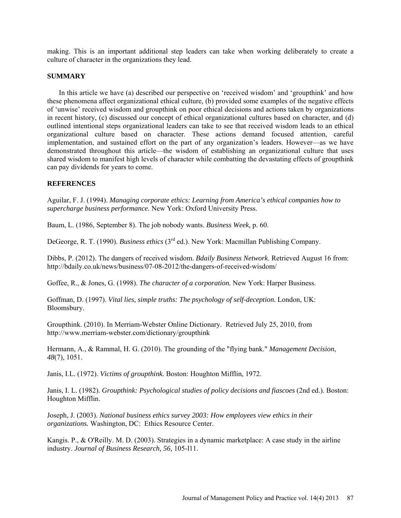making. This is an important additional step leaders can take when working deliberately to create a culture of character in the organizations they lead.

# **SUMMARY**

In this article we have (a) described our perspective on 'received wisdom' and 'groupthink' and how these phenomena affect organizational ethical culture, (b) provided some examples of the negative effects of 'unwise' received wisdom and groupthink on poor ethical decisions and actions taken by organizations in recent history, (c) discussed our concept of ethical organizational cultures based on character, and (d) outlined intentional steps organizational leaders can take to see that received wisdom leads to an ethical organizational culture based on character. These actions demand focused attention, careful implementation, and sustained effort on the part of any organization's leaders. However—as we have demonstrated throughout this article—the wisdom of establishing an organizational culture that uses shared wisdom to manifest high levels of character while combatting the devastating effects of groupthink can pay dividends for years to come.

# **REFERENCES**

Aguilar, F. J. (1994). *Managing corporate ethics: Learning from America's ethical companies how to supercharge business performance.* New York: Oxford University Press.

Baum, L. (1986, September 8). The job nobody wants. *Business Week,* p. 60.

DeGeorge, R. T. (1990). *Business ethics* (3rd ed.). New York: Macmillan Publishing Company.

Dibbs, P. (2012). The dangers of received wisdom. *Bdaily Business Network*. Retrieved August 16 from: <http://bdaily.co.uk/news/business/07-08-2012/the-dangers-of-received-wisdom/>

Goffee, R., & Jones, G. (1998). *The character of a corporation.* New York: Harper Business.

Goffman, D. (1997). *Vital lies, simple truths: The psychology of self-deception.* London, UK: Bloomsbury.

Groupthink. (2010). In Merriam-Webster Online Dictionary. Retrieved July 25, 2010, from <http://www.merriam-webster.com/dictionary/groupthink>

Hermann, A., & Rammal, H. G. (2010). The grounding of the "flying bank." *Management Decision*, *48*(7), 1051.

Janis, I.L. (1972). *Victims of groupthink.* Boston: Houghton Mifflin, 1972.

Janis, I. L. (1982). *Groupthink: Psychological studies of policy decisions and fiascoes* (2nd ed.). Boston: Houghton Mifflin.

Joseph, J. (2003). *National business ethics survey 2003: How employees view ethics in their organizations.* Washington, DC: Ethics Resource Center.

Kangis. P., & O'Reilly. M. D. (2003). Strategies in a dynamic marketplace: A case study in the airline industry. *Journal of Business Research, 56,* 105-l11.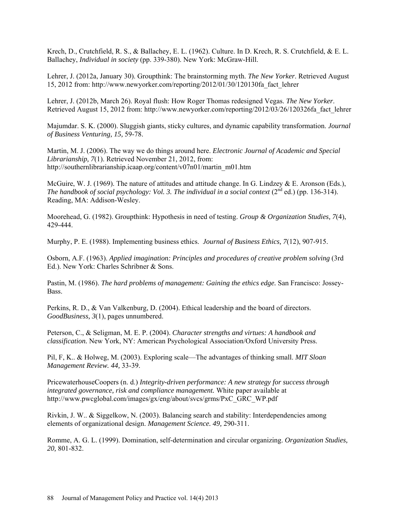Krech, D., Crutchfield, R. S., & Ballachey, E. L. (1962). Culture. In D. Krech, R. S. Crutchfield, & E. L. Ballachey, *Individual in society* (pp. 339-380). New York: McGraw-Hill.

Lehrer, J. (2012a, January 30). Groupthink: The brainstorming myth. *The New Yorker*. Retrieved August 15, 2012 from: http://www.newyorker.com/reporting/2012/01/30/120130fa\_fact\_lehrer

Lehrer, J. (2012b, March 26). Royal flush: How Roger Thomas redesigned Vegas. *The New Yorker*. Retrieved August 15, 2012 from: http://www.newyorker.com/reporting/2012/03/26/120326fa\_fact\_lehrer

Majumdar. S. K. (2000). Sluggish giants, sticky cultures, and dynamic capability transformation. *Journal of Business Venturing, 15,* 59-78.

Martin, M. J. (2006). The way we do things around here. *Electronic Journal of Academic and Special Librarianship, 7*(1). Retrieved November 21, 2012, from: [http://southernlibrarianship.icaap.org/content/v07n01/martin\\_m01.htm](http://southernlibrarianship.icaap.org/content/v07n01/martin_m01.htm) 

McGuire, W. J. (1969). The nature of attitudes and attitude change. In G. Lindzey & E. Aronson (Eds.), *The handbook of social psychology: Vol. 3. The individual in a social context*  $(2^{nd}$  ed.) (pp. 136-314). Reading, MA: Addison-Wesley.

Moorehead, G. (1982). Groupthink: Hypothesis in need of testing. *Group & Organization Studies, 7*(4), 429-444.

Murphy, P. E. (1988). Implementing business ethics. *Journal of Business Ethics, 7*(12), 907-915.

Osborn, A.F. (1963). *Applied imagination: Principles and procedures of creative problem solving* (3rd Ed.). New York: Charles Schribner & Sons.

Pastin, M. (1986). *The hard problems of management: Gaining the ethics edge.* San Francisco: Jossey-Bass.

Perkins, R. D., & Van Valkenburg, D. (2004). Ethical leadership and the board of directors. *GoodBusiness, 3*(1), pages unnumbered.

Peterson, C., & Seligman, M. E. P. (2004). *Character strengths and virtues: A handbook and classification.* New York, NY: American Psychological Association/Oxford University Press.

Pil, F, K.. & Holweg, M. (2003). Exploring scale—The advantages of thinking small. *MIT Sloan Management Review. 44,* 33-39.

PricewaterhouseCoopers (n. d.) *Integrity-driven performance: A new strategy for success through integrated governance, risk and compliance management.* White paper available at [http://www.pwcglobal.com/images/gx/eng/about/svcs/grms/PxC\\_GRC\\_WP.pdf](http://www.pwcglobal.com/images/gx/eng/about/svcs/grms/PxC_GRC_WP.pdf)

Rivkin, J. W.. & Siggelkow, N. (2003). Balancing search and stability: Interdependencies among elements of organizational design. *Management Science. 49,* 290-311.

Romme, A. G. L. (1999). Domination, self-determination and circular organizing. *Organization Studies, 20,* 801-832.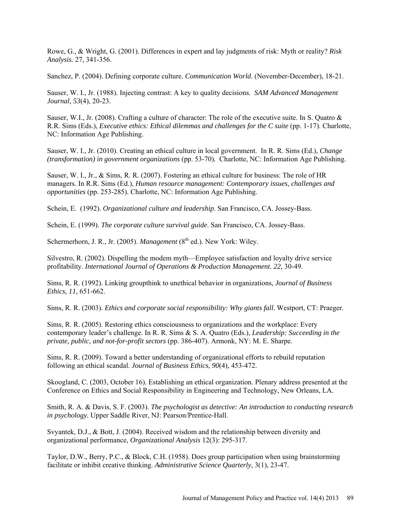Rowe, G., & Wright, G. (2001). Differences in expert and lay judgments of risk: Myth or reality? *Risk Analysis.* 27, 341-356.

Sanchez, P. (2004). Defining corporate culture. *Communication World*. (November-December), 18-21.

Sauser, W. I., Jr. (1988). Injecting contrast: A key to quality decisions. *SAM Advanced Management Journal, 53*(4), 20-23.

Sauser, W.I., Jr. (2008). Crafting a culture of character: The role of the executive suite. In S. Quatro  $\&$ R.R. Sims (Eds.), *Executive ethics: Ethical dilemmas and challenges for the C suite* (pp. 1-17). Charlotte, NC: Information Age Publishing.

Sauser, W. I., Jr. (2010). Creating an ethical culture in local government. In R. R. Sims (Ed.), *Change (transformation) in government organizations (pp. 53-70). Charlotte, NC: Information Age Publishing.* 

Sauser, W. I., Jr., & Sims, R. R. (2007). Fostering an ethical culture for business: The role of HR managers. In R.R. Sims (Ed.), *Human resource management: Contemporary issues, challenges and opportunities* (pp. 253-285). Charlotte, NC: Information Age Publishing.

Schein, E. (1992). *Organizational culture and leadership*. San Francisco, CA. Jossey-Bass.

Schein, E. (1999). *The corporate culture survival guide*. San Francisco, CA. Jossey-Bass.

Schermerhorn, J. R., Jr. (2005). *Management* (8<sup>th</sup> ed.). New York: Wiley.

Silvestro, R. (2002). Dispelling the modem myth—Employee satisfaction and loyalty drive service profitability. *International Journal of Operations & Production Management. 22,* 30-49.

Sims, R. R. (1992). Linking groupthink to unethical behavior in organizations, *Journal of Business Ethics, 11,* 651-662.

Sims, R. R. (2003). *Ethics and corporate social responsibility: Why giants fall.* Westport, CT: Praeger.

Sims, R. R. (2005). Restoring ethics consciousness to organizations and the workplace: Every contemporary leader's challenge. In R. R. Sims & S. A. Quatro (Eds.), *Leadership: Succeeding in the private, public, and not-for-profit sectors* (pp. 386-407). Armonk, NY: M. E. Sharpe.

Sims, R. R. (2009). Toward a better understanding of organizational efforts to rebuild reputation following an ethical scandal. *Journal of Business Ethics*, *90*(4), 453-472.

Skoogland, C. (2003, October 16). Establishing an ethical organization. Plenary address presented at the Conference on Ethics and Social Responsibility in Engineering and Technology, New Orleans, LA.

Smith, R. A. & Davis, S. F. (2003). *The psychologist as detective: An introduction to conducting research in psychology.* Upper Saddle River, NJ: Pearson/Prentice-Hall.

Svyantek, D.J., & Bott, J. (2004). Received wisdom and the relationship between diversity and organizational performance, *Organizational Analysis* 12(3): 295-317.

Taylor, D.W., Berry, P.C., & Block, C.H. (1958). Does group participation when using brainstorming facilitate or inhibit creative thinking. *Administrative Science Quarterly*, 3(1), 23-47.